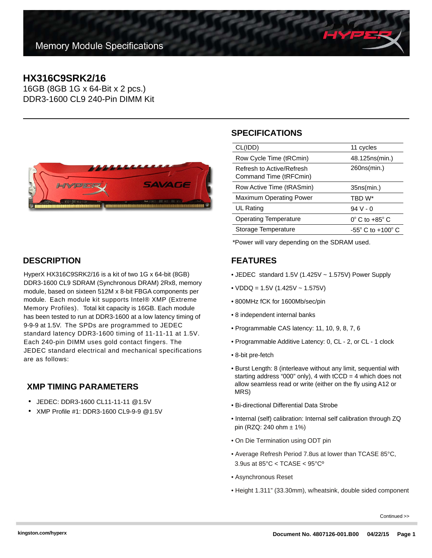# **HX316C9SRK2/16**

16GB (8GB 1G x 64-Bit x 2 pcs.) DDR3-1600 CL9 240-Pin DIMM Kit



#### **DESCRIPTION**

HyperX HX316C9SRK2/16 is a kit of two 1G x 64-bit (8GB) DDR3-1600 CL9 SDRAM (Synchronous DRAM) 2Rx8, memory module, based on sixteen 512M x 8-bit FBGA components per module. Each module kit supports Intel® XMP (Extreme Memory Profiles). Total kit capacity is 16GB. Each module has been tested to run at DDR3-1600 at a low latency timing of 9-9-9 at 1.5V. The SPDs are programmed to JEDEC standard latency DDR3-1600 timing of 11-11-11 at 1.5V. Each 240-pin DIMM uses gold contact fingers. The JEDEC standard electrical and mechanical specifications are as follows:

## **XMP TIMING PARAMETERS**

- JEDEC: DDR3-1600 CL11-11-11 @1.5V
- XMP Profile #1: DDR3-1600 CL9-9-9 @1.5V

# **SPECIFICATIONS**

| CL(IDD)                                             | 11 cycles                         |
|-----------------------------------------------------|-----------------------------------|
| Row Cycle Time (tRCmin)                             | 48.125ns(min.)                    |
| Refresh to Active/Refresh<br>Command Time (tRFCmin) | 260ns(min.)                       |
| Row Active Time (tRASmin)                           | 35ns(min.)                        |
| <b>Maximum Operating Power</b>                      | TBD W*                            |
| UL Rating                                           | $94V - 0$                         |
| <b>Operating Temperature</b>                        | $0^{\circ}$ C to +85 $^{\circ}$ C |
| Storage Temperature                                 | $-55^\circ$ C to $+100^\circ$ C   |
|                                                     |                                   |

\*Power will vary depending on the SDRAM used.

## **FEATURES**

- JEDEC standard 1.5V (1.425V ~ 1.575V) Power Supply
- $VDDQ = 1.5V (1.425V 1.575V)$
- 800MHz fCK for 1600Mb/sec/pin
- 8 independent internal banks
- Programmable CAS latency: 11, 10, 9, 8, 7, 6
- Programmable Additive Latency: 0, CL 2, or CL 1 clock
- 8-bit pre-fetch
- Burst Length: 8 (interleave without any limit, sequential with starting address "000" only), 4 with  $tCCD = 4$  which does not allow seamless read or write (either on the fly using A12 or MRS)
- Bi-directional Differential Data Strobe
- Internal (self) calibration: Internal self calibration through ZQ pin (RZQ: 240 ohm  $\pm$  1%)
- On Die Termination using ODT pin
- Average Refresh Period 7.8us at lower than TCASE 85°C, 3.9us at 85°C < TCASE < 95°Cº
- Asynchronous Reset
- Height 1.311" (33.30mm), w/heatsink, double sided component